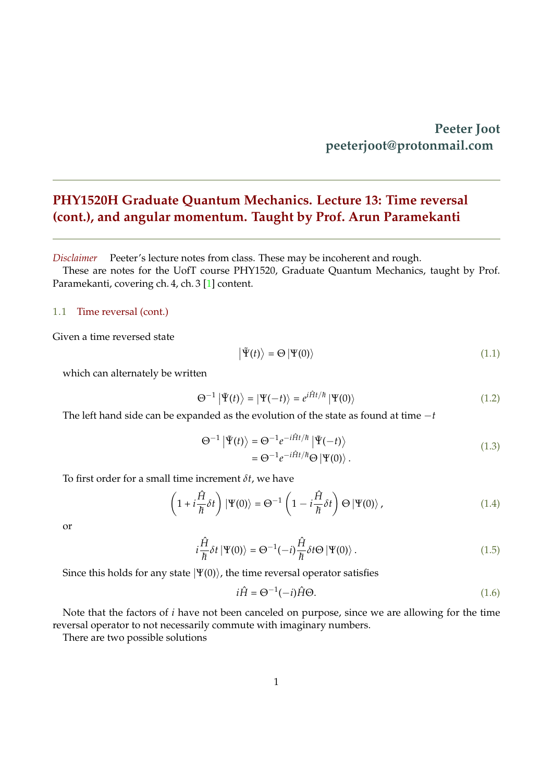## <span id="page-0-0"></span>**PHY1520H Graduate Quantum Mechanics. Lecture 13: Time reversal (cont.), and angular momentum. Taught by Prof. Arun Paramekanti**

*Disclaimer* Peeter's lecture notes from class. These may be incoherent and rough.

These are notes for the UofT course PHY1520, Graduate Quantum Mechanics, taught by Prof. Paramekanti, covering ch. 4, ch. 3 [\[1\]](#page-10-0) content.

#### 1.1 Time reversal (cont.)

Given a time reversed state

$$
\left| \tilde{\Psi}(t) \right\rangle = \Theta \left| \Psi(0) \right\rangle \tag{1.1}
$$

which can alternately be written

$$
\Theta^{-1} |\tilde{\Psi}(t)\rangle = |\Psi(-t)\rangle = e^{i\hat{H}t/\hbar} |\Psi(0)\rangle \tag{1.2}
$$

The left hand side can be expanded as the evolution of the state as found at time −*t*

$$
\Theta^{-1} |\tilde{\Psi}(t)\rangle = \Theta^{-1} e^{-i\hat{H}t/\hbar} |\tilde{\Psi}(-t)\rangle
$$
  
= 
$$
\Theta^{-1} e^{-i\hat{H}t/\hbar} \Theta |\Psi(0)\rangle .
$$
 (1.3)

To first order for a small time increment *δt*, we have

$$
\left(1 + i\frac{\hat{H}}{\hbar}\delta t\right)|\Psi(0)\rangle = \Theta^{-1}\left(1 - i\frac{\hat{H}}{\hbar}\delta t\right)\Theta\left|\Psi(0)\right\rangle,\tag{1.4}
$$

or

$$
i\frac{\hat{H}}{\hbar}\delta t \,|\Psi(0)\rangle = \Theta^{-1}(-i)\frac{\hat{H}}{\hbar}\delta t \Theta \,|\Psi(0)\rangle\,. \tag{1.5}
$$

Since this holds for any state  $|\Psi(0)\rangle$ , the time reversal operator satisfies

$$
i\hat{H} = \Theta^{-1}(-i)\hat{H}\Theta.
$$
\n(1.6)

Note that the factors of *i* have not been canceled on purpose, since we are allowing for the time reversal operator to not necessarily commute with imaginary numbers.

There are two possible solutions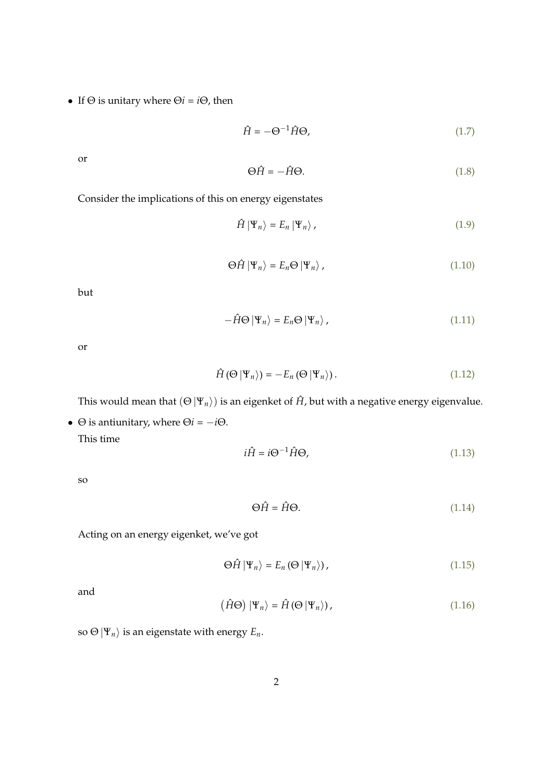• If  $\Theta$  is unitary where  $\Theta$ *i* = *i* $\Theta$ *,* then

$$
\hat{H} = -\Theta^{-1}\hat{H}\Theta,\tag{1.7}
$$

or

$$
\Theta \hat{H} = -\hat{H} \Theta. \tag{1.8}
$$

Consider the implications of this on energy eigenstates

$$
\hat{H} | \Psi_n \rangle = E_n | \Psi_n \rangle , \qquad (1.9)
$$

$$
\Theta \hat{H} | \Psi_n \rangle = E_n \Theta | \Psi_n \rangle , \qquad (1.10)
$$

but

$$
-\hat{H}\Theta \left|\Psi_n\right\rangle = E_n \Theta \left|\Psi_n\right\rangle,\tag{1.11}
$$

or

$$
\hat{H}(\Theta | \Psi_n \rangle) = -E_n(\Theta | \Psi_n \rangle). \tag{1.12}
$$

This would mean that  $(\Theta | \Psi_n)$  is an eigenket of  $\hat{H}$ , but with a negative energy eigenvalue.

•  $\Theta$  is antiunitary, where  $\Theta$ *i* =  $-i\Theta$ .

This time

$$
i\hat{H} = i\Theta^{-1}\hat{H}\Theta,
$$
\n(1.13)

so

$$
\Theta \hat{H} = \hat{H} \Theta. \tag{1.14}
$$

Acting on an energy eigenket, we've got

$$
\Theta \hat{H} | \Psi_n \rangle = E_n \left( \Theta | \Psi_n \rangle \right), \tag{1.15}
$$

and

$$
\left(\hat{H}\Theta\right)\left|\Psi_{n}\right\rangle = \hat{H}\left(\Theta\left|\Psi_{n}\right\rangle\right),\tag{1.16}
$$

so  $\Theta | \Psi_n \rangle$  is an eigenstate with energy  $E_n$ .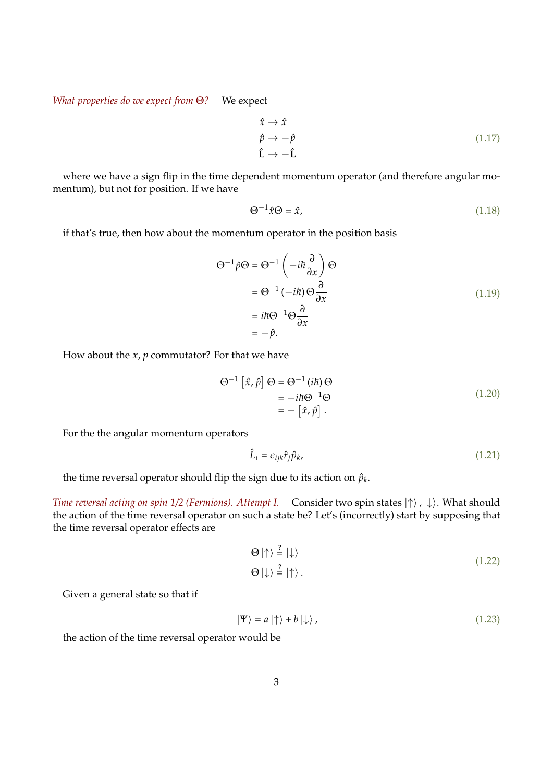*What properties do we expect from* Θ*?* We expect

$$
\hat{x} \to \hat{x} \n\hat{p} \to -\hat{p} \n\hat{L} \to -\hat{L}
$$
\n(1.17)

where we have a sign flip in the time dependent momentum operator (and therefore angular momentum), but not for position. If we have

$$
\Theta^{-1}\hat{x}\Theta = \hat{x},\tag{1.18}
$$

if that's true, then how about the momentum operator in the position basis

$$
\Theta^{-1}\hat{p}\Theta = \Theta^{-1}\left(-i\hbar\frac{\partial}{\partial x}\right)\Theta
$$
  

$$
= \Theta^{-1}\left(-i\hbar\right)\Theta\frac{\partial}{\partial x}
$$
  

$$
= i\hbar\Theta^{-1}\Theta\frac{\partial}{\partial x}
$$
  

$$
= -\hat{p}.
$$
 (1.19)

How about the *x*, *p* commutator? For that we have

$$
\Theta^{-1} \left[ \hat{x}, \hat{p} \right] \Theta = \Theta^{-1} (i\hbar) \Theta
$$
  
=  $-i\hbar \Theta^{-1} \Theta$   
=  $- \left[ \hat{x}, \hat{p} \right].$  (1.20)

For the the angular momentum operators

$$
\hat{L}_i = \epsilon_{ijk}\hat{r}_j\hat{p}_k,\tag{1.21}
$$

the time reversal operator should flip the sign due to its action on  $\hat{p}_k$ .

*Time reversal acting on spin 1/2 (Fermions). Attempt I.* Consider two spin states  $|\uparrow\rangle$ ,  $|\downarrow\rangle$ . What should the action of the time reversal operator on such a state be? Let's (incorrectly) start by supposing that the time reversal operator effects are

$$
\Theta \mid \uparrow \rangle \stackrel{?}{=} \mid \downarrow \rangle
$$
  
\n
$$
\Theta \mid \downarrow \rangle \stackrel{?}{=} \mid \uparrow \rangle.
$$
 (1.22)

Given a general state so that if

$$
|\Psi\rangle = a |\uparrow\rangle + b |\downarrow\rangle, \qquad (1.23)
$$

the action of the time reversal operator would be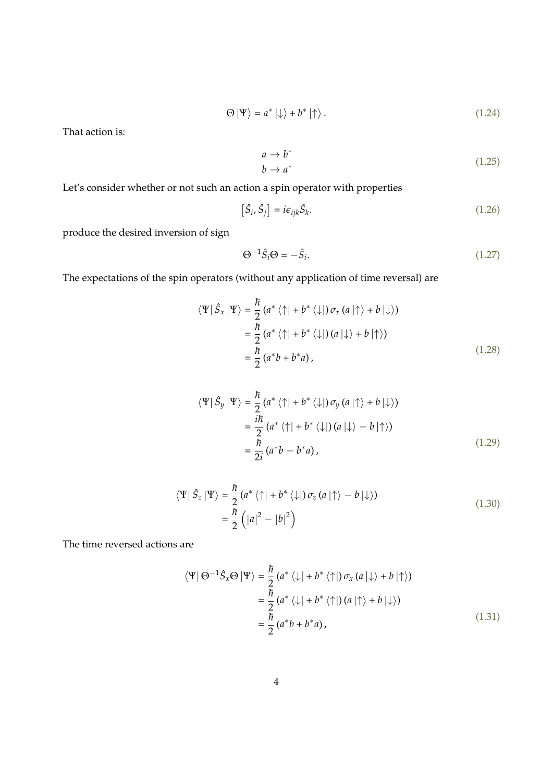$$
\Theta \left| \Psi \right\rangle = a^* \left| \downarrow \right\rangle + b^* \left| \uparrow \right\rangle. \tag{1.24}
$$

That action is:

$$
a \to b^*
$$
  
\n
$$
b \to a^*
$$
\n
$$
(1.25)
$$

Let's consider whether or not such an action a spin operator with properties

$$
\left[\hat{S}_i, \hat{S}_j\right] = i\epsilon_{ijk}\hat{S}_k. \tag{1.26}
$$

produce the desired inversion of sign

$$
\Theta^{-1}\hat{S}_i\Theta = -\hat{S}_i. \tag{1.27}
$$

The expectations of the spin operators (without any application of time reversal) are

$$
\langle \Psi | \hat{S}_x | \Psi \rangle = \frac{\hbar}{2} (a^* \langle \uparrow | + b^* \langle \downarrow |) \sigma_x (a | \uparrow \rangle + b | \downarrow \rangle)
$$
  
=  $\frac{\hbar}{2} (a^* \langle \uparrow | + b^* \langle \downarrow |) (a | \downarrow \rangle + b | \uparrow \rangle)$   
=  $\frac{\hbar}{2} (a^* b + b^* a),$  (1.28)

$$
\langle \Psi | \hat{S}_y | \Psi \rangle = \frac{\hbar}{2} (a^* \langle \uparrow | + b^* \langle \downarrow |) \sigma_y (a | \uparrow \rangle + b | \downarrow \rangle)
$$
  
=  $\frac{i\hbar}{2} (a^* \langle \uparrow | + b^* \langle \downarrow |) (a | \downarrow \rangle - b | \uparrow \rangle)$   
=  $\frac{\hbar}{2i} (a^* b - b^* a),$  (1.29)

$$
\langle \Psi | \hat{S}_z | \Psi \rangle = \frac{\hbar}{2} (a^* \langle \uparrow | + b^* \langle \downarrow |) \sigma_z (a | \uparrow \rangle - b | \downarrow \rangle)
$$
  
=  $\frac{\hbar}{2} (|a|^2 - |b|^2)$  (1.30)

The time reversed actions are

$$
\langle \Psi | \Theta^{-1} \hat{S}_x \Theta | \Psi \rangle = \frac{\hbar}{2} (a^* \langle \downarrow | + b^* \langle \uparrow |) \sigma_x (a | \downarrow \rangle + b | \uparrow \rangle)
$$
  

$$
= \frac{\hbar}{2} (a^* \langle \downarrow | + b^* \langle \uparrow |) (a | \uparrow \rangle + b | \downarrow \rangle)
$$
  

$$
= \frac{\hbar}{2} (a^* b + b^* a), \qquad (1.31)
$$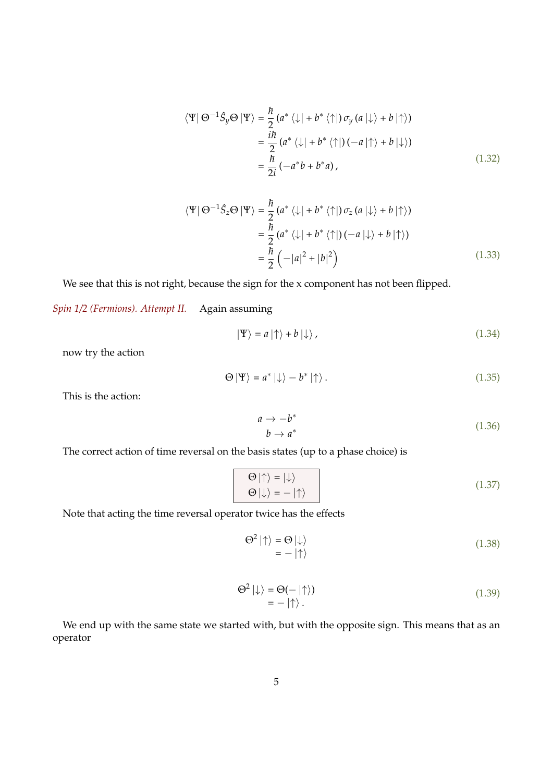$$
\langle \Psi | \Theta^{-1} \hat{S}_y \Theta | \Psi \rangle = \frac{\hbar}{2} (a^* \langle \downarrow | + b^* \langle \uparrow |) \sigma_y (a | \downarrow \rangle + b | \uparrow \rangle)
$$
  

$$
= \frac{i\hbar}{2} (a^* \langle \downarrow | + b^* \langle \uparrow |) (-a | \uparrow \rangle + b | \downarrow \rangle)
$$
  

$$
= \frac{\hbar}{2i} (-a^* b + b^* a), \qquad (1.32)
$$

$$
\langle \Psi | \Theta^{-1} \hat{S}_z \Theta | \Psi \rangle = \frac{\hbar}{2} (a^* \langle \downarrow | + b^* \langle \uparrow |) \sigma_z (a | \downarrow \rangle + b | \uparrow \rangle)
$$
  
=  $\frac{\hbar}{2} (a^* \langle \downarrow | + b^* \langle \uparrow |) (-a | \downarrow \rangle + b | \uparrow \rangle)$   
=  $\frac{\hbar}{2} (-|a|^2 + |b|^2)$  (1.33)

We see that this is not right, because the sign for the x component has not been flipped.

*Spin 1/2 (Fermions). Attempt II.* Again assuming

$$
|\Psi\rangle = a |\uparrow\rangle + b |\downarrow\rangle, \qquad (1.34)
$$

now try the action

$$
\Theta \left| \Psi \right\rangle = a^* \left| \downarrow \right\rangle - b^* \left| \uparrow \right\rangle. \tag{1.35}
$$

This is the action:

$$
a \to -b^* b \to a^* \tag{1.36}
$$

The correct action of time reversal on the basis states (up to a phase choice) is

$$
\Theta \mid \uparrow \rangle = \mid \downarrow \rangle
$$
  
\n
$$
\Theta \mid \downarrow \rangle = - \mid \uparrow \rangle
$$
 (1.37)

Note that acting the time reversal operator twice has the effects

$$
\Theta^2 \mid \uparrow \rangle = \Theta \mid \downarrow \rangle
$$
  
= - \mid \uparrow \rangle (1.38)

$$
\Theta^2 \left| \downarrow \right\rangle = \Theta(- \left| \uparrow \right\rangle) \n= - \left| \uparrow \right\rangle.
$$
\n(1.39)

We end up with the same state we started with, but with the opposite sign. This means that as an operator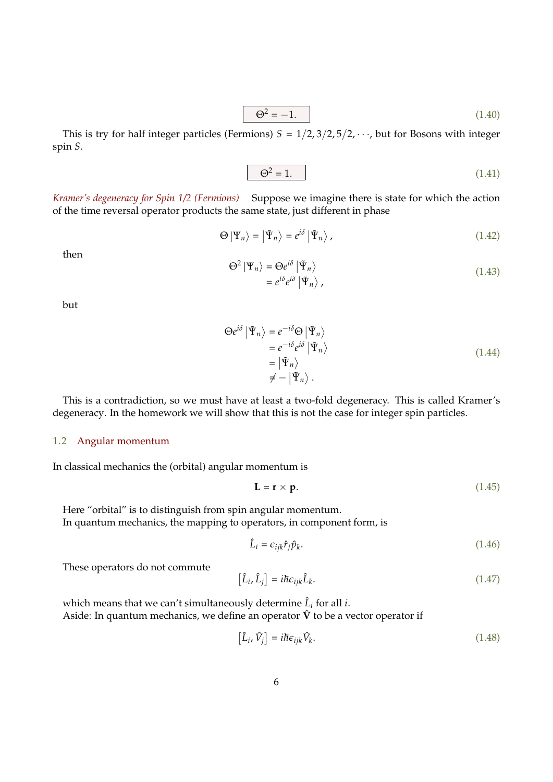$$
\Theta^2 = -1.\tag{1.40}
$$

This is try for half integer particles (Fermions)  $S = 1/2, 3/2, 5/2, \cdots$ , but for Bosons with integer spin *S*.

$$
\Theta^2 = 1.\tag{1.41}
$$

*Kramer's degeneracy for Spin 1/2 (Fermions)* Suppose we imagine there is state for which the action of the time reversal operator products the same state, just different in phase

$$
\Theta \left| \Psi_n \right\rangle = \left| \tilde{\Psi}_n \right\rangle = e^{i\delta} \left| \tilde{\Psi}_n \right\rangle, \tag{1.42}
$$

then

$$
\Theta^2 | \Psi_n \rangle = \Theta e^{i\delta} | \tilde{\Psi}_n \rangle \n= e^{i\delta} e^{i\delta} | \tilde{\Psi}_n \rangle ,
$$
\n(1.43)

but

$$
\Theta e^{i\delta} | \tilde{\Psi}_n \rangle = e^{-i\delta} \Theta | \tilde{\Psi}_n \rangle
$$
  
=  $e^{-i\delta} e^{i\delta} | \tilde{\Psi}_n \rangle$   
=  $| \tilde{\Psi}_n \rangle$   
 $\neq - | \tilde{\Psi}_n \rangle$ . (1.44)

This is a contradiction, so we must have at least a two-fold degeneracy. This is called Kramer's degeneracy. In the homework we will show that this is not the case for integer spin particles.

#### 1.2 Angular momentum

In classical mechanics the (orbital) angular momentum is

$$
\mathbf{L} = \mathbf{r} \times \mathbf{p}.\tag{1.45}
$$

Here "orbital" is to distinguish from spin angular momentum. In quantum mechanics, the mapping to operators, in component form, is

$$
\hat{L}_i = \epsilon_{ijk}\hat{r}_j\hat{p}_k. \tag{1.46}
$$

These operators do not commute

$$
\left[\hat{L}_i, \hat{L}_j\right] = i\hbar \epsilon_{ijk} \hat{L}_k. \tag{1.47}
$$

which means that we can't simultaneously determine  $\hat{L}_i$  for all *i*. Aside: In quantum mechanics, we define an operator  $\hat{V}$  to be a vector operator if

$$
\left[\hat{L}_i, \hat{V}_j\right] = i\hbar \epsilon_{ijk} \hat{V}_k. \tag{1.48}
$$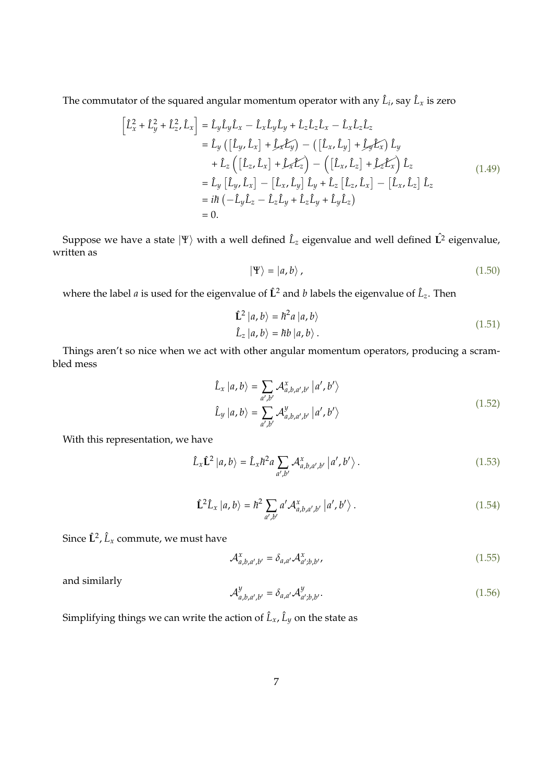The commutator of the squared angular momentum operator with any  $\hat{L}_i$ , say  $\hat{L}_x$  is zero

$$
\begin{aligned}\n\left[\hat{L}_x^2 + \hat{L}_y^2 + \hat{L}_z^2, \hat{L}_x\right] &= \hat{L}_y \hat{L}_y \hat{L}_x - \hat{L}_x \hat{L}_y \hat{L}_y + \hat{L}_z \hat{L}_z \hat{L}_x - \hat{L}_x \hat{L}_z \hat{L}_z \\
&= \hat{L}_y \left(\left[\hat{L}_y, \hat{L}_x\right] + \hat{L}_x \hat{L}_y\right) - \left(\left[\hat{L}_x, \hat{L}_y\right] + \hat{L}_y \hat{L}_x\right) \hat{L}_y \\
&\quad + \hat{L}_z \left(\left[\hat{L}_z, \hat{L}_x\right] + \hat{L}_x \hat{L}_z\right) - \left(\left[\hat{L}_x, \hat{L}_z\right] + \hat{L}_z \hat{L}_x\right) \hat{L}_z \\
&= \hat{L}_y \left[\hat{L}_y, \hat{L}_x\right] - \left[\hat{L}_x, \hat{L}_y\right] \hat{L}_y + \hat{L}_z \left[\hat{L}_z, \hat{L}_x\right] - \left[\hat{L}_x, \hat{L}_z\right] \hat{L}_z \\
&= i\hbar \left(-\hat{L}_y \hat{L}_z - \hat{L}_z \hat{L}_y + \hat{L}_z \hat{L}_y + \hat{L}_y \hat{L}_z\right) \\
&= 0.\n\end{aligned} \tag{1.49}
$$

Suppose we have a state  $|\Psi\rangle$  with a well defined  $\hat{L}_z$  eigenvalue and well defined  $\hat{\bf L^2}$  eigenvalue, written as

$$
|\Psi\rangle = |a,b\rangle, \qquad (1.50)
$$

where the label *a* is used for the eigenvalue of  $\hat{L}^2$  and *b* labels the eigenvalue of  $\hat{L}_z$ . Then

$$
\hat{\mathbf{L}}^2 |a, b\rangle = \hbar^2 a |a, b\rangle
$$
  

$$
\hat{\mathbf{L}}_z |a, b\rangle = \hbar b |a, b\rangle.
$$
 (1.51)

Things aren't so nice when we act with other angular momentum operators, producing a scrambled mess

$$
\hat{L}_x |a, b\rangle = \sum_{a',b'} \mathcal{A}_{a,b,a',b'}^x |a',b'\rangle
$$
\n
$$
\hat{L}_y |a, b\rangle = \sum_{a',b'} \mathcal{A}_{a,b,a',b'}^y |a',b'\rangle
$$
\n(1.52)

With this representation, we have

$$
\hat{L}_x \hat{\mathbf{L}}^2 |a, b\rangle = \hat{L}_x \hbar^2 a \sum_{a', b'} \mathcal{A}_{a, b, a', b'}^x |a', b'\rangle.
$$
 (1.53)

$$
\hat{\mathbf{L}}^2 \hat{L}_x |a, b\rangle = \hbar^2 \sum_{a', b'} a' \mathcal{A}_{a, b, a', b'}^x |a', b'\rangle.
$$
 (1.54)

Since  $\hat{\mathbf{L}}^2$ *,*  $\hat{L}_x$  commute, we must have

$$
\mathcal{A}_{a,b,a',b'}^{x} = \delta_{a,a'} \mathcal{A}_{a';b,b'}^{x}
$$
\n(1.55)

and similarly

$$
\mathcal{A}_{a,b,a',b'}^y = \delta_{a,a'} \mathcal{A}_{a',b,b'}^y. \tag{1.56}
$$

Simplifying things we can write the action of  $\hat{L}_x$ ,  $\hat{L}_y$  on the state as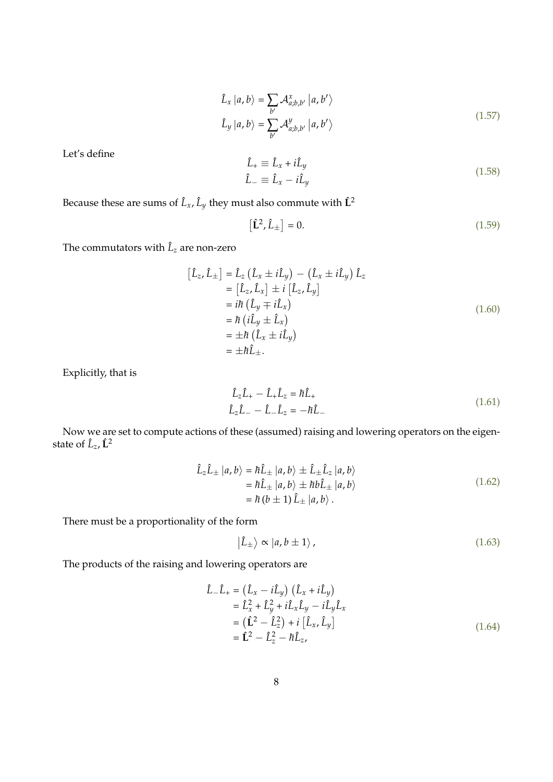$$
\hat{L}_x |a, b\rangle = \sum_{b'} \mathcal{A}_{a;b,b'}^x |a, b'\rangle
$$
\n
$$
\hat{L}_y |a, b\rangle = \sum_{b'} \mathcal{A}_{a;b,b'}^y |a, b'\rangle
$$
\n(1.57)

Let's define

$$
\hat{L}_{+} \equiv \hat{L}_{x} + i\hat{L}_{y}
$$
\n
$$
\hat{L}_{-} \equiv \hat{L}_{x} - i\hat{L}_{y}
$$
\n(1.58)

Because these are sums of  $\hat{L}_x$ ,  $\hat{L}_y$  they must also commute with  $\hat{L}^2$ 

$$
\left[\hat{\mathbf{L}}^2, \hat{L}_{\pm}\right] = 0. \tag{1.59}
$$

The commutators with  $\hat{L}_z$  are non-zero

$$
[\hat{L}_z, \hat{L}_\pm] = \hat{L}_z (\hat{L}_x \pm i\hat{L}_y) - (\hat{L}_x \pm i\hat{L}_y) \hat{L}_z
$$
  
\n
$$
= [\hat{L}_z, \hat{L}_x] \pm i [\hat{L}_z, \hat{L}_y]
$$
  
\n
$$
= i\hbar (\hat{L}_y \mp i\hat{L}_x)
$$
  
\n
$$
= \hbar (i\hat{L}_y \pm \hat{L}_x)
$$
  
\n
$$
= \pm \hbar (\hat{L}_x \pm i\hat{L}_y)
$$
  
\n
$$
= \pm \hbar \hat{L}_\pm.
$$
 (1.60)

Explicitly, that is

$$
\hat{L}_z \hat{L}_+ - \hat{L}_+ \hat{L}_z = \hbar \hat{L}_+
$$
\n
$$
\hat{L}_z \hat{L}_- - \hat{L}_- \hat{L}_z = -\hbar \hat{L}_-\tag{1.61}
$$

Now we are set to compute actions of these (assumed) raising and lowering operators on the eigenstate of *L*ˆ *<sup>z</sup>*, **L**ˆ <sup>2</sup>

$$
\hat{L}_z \hat{L}_\pm |a, b\rangle = \hbar \hat{L}_\pm |a, b\rangle \pm \hat{L}_\pm \hat{L}_z |a, b\rangle \n= \hbar \hat{L}_\pm |a, b\rangle \pm \hbar b \hat{L}_\pm |a, b\rangle \n= \hbar (b \pm 1) \hat{L}_\pm |a, b\rangle.
$$
\n(1.62)

There must be a proportionality of the form

$$
|\hat{L}_{\pm}\rangle \propto |a, b \pm 1\rangle, \qquad (1.63)
$$

The products of the raising and lowering operators are

$$
\hat{L}_{-}\hat{L}_{+} = (\hat{L}_{x} - i\hat{L}_{y}) (\hat{L}_{x} + i\hat{L}_{y}) \n= \hat{L}_{x}^{2} + \hat{L}_{y}^{2} + i\hat{L}_{x}\hat{L}_{y} - i\hat{L}_{y}\hat{L}_{x} \n= (\hat{L}^{2} - \hat{L}_{z}^{2}) + i [\hat{L}_{x}, \hat{L}_{y}] \n= \hat{L}^{2} - \hat{L}_{z}^{2} - h\hat{L}_{z},
$$
\n(1.64)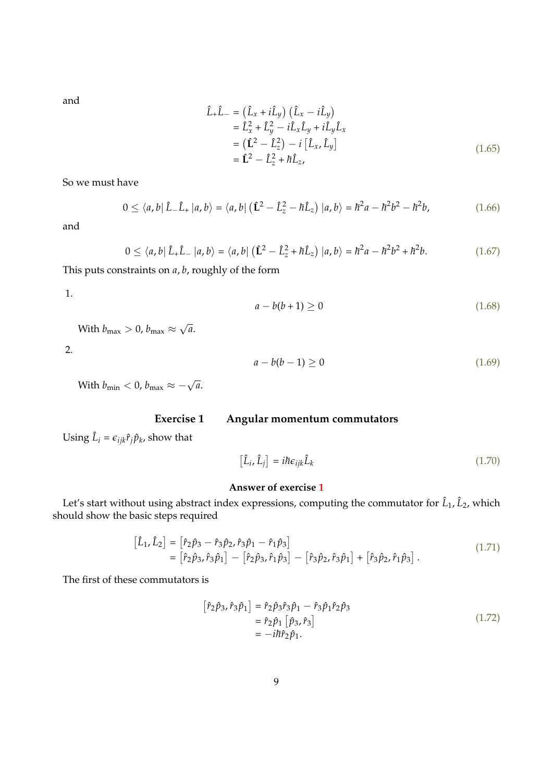and

$$
\hat{L}_{+}\hat{L}_{-} = (\hat{L}_{x} + i\hat{L}_{y}) (\hat{L}_{x} - i\hat{L}_{y}) \n= \hat{L}_{x}^{2} + \hat{L}_{y}^{2} - i\hat{L}_{x}\hat{L}_{y} + i\hat{L}_{y}\hat{L}_{x} \n= (\hat{L}^{2} - \hat{L}_{z}^{2}) - i [\hat{L}_{x}, \hat{L}_{y}] \n= \hat{L}^{2} - \hat{L}_{z}^{2} + h\hat{L}_{z},
$$
\n(1.65)

So we must have

$$
0 \le \langle a, b | \hat{L} - \hat{L}_+ | a, b \rangle = \langle a, b | (\hat{L}^2 - \hat{L}_z^2 - \hbar \hat{L}_z) | a, b \rangle = \hbar^2 a - \hbar^2 b^2 - \hbar^2 b,
$$
 (1.66)

and

$$
0 \le \langle a, b | \hat{L}_+ \hat{L}_- | a, b \rangle = \langle a, b | (\hat{L}^2 - \hat{L}_z^2 + \hbar \hat{L}_z) | a, b \rangle = \hbar^2 a - \hbar^2 b^2 + \hbar^2 b. \tag{1.67}
$$

This puts constraints on *a*, *b*, roughly of the form

1.

$$
a - b(b + 1) \ge 0 \tag{1.68}
$$

With  $b_{\rm max}>0$ ,  $b_{\rm max}\approx$ √ *a*.

2.

$$
a - b(b - 1) \ge 0 \tag{1.69}
$$

With  $b_{\min} < 0$ ,  $b_{\max} \approx -\sqrt{a}$ .

## **Exercise 1 Angular momentum commutators**

<span id="page-8-0"></span>Using  $\hat{L}_i = \epsilon_{ijk} \hat{r}_j \hat{p}_k$ , show that

$$
\left[\hat{L}_i, \hat{L}_j\right] = i\hbar \epsilon_{ijk} \hat{L}_k \tag{1.70}
$$

### **Answer of exercise [1](#page-8-0)**

Let's start without using abstract index expressions, computing the commutator for  $\hat{L}_1$ ,  $\hat{L}_2$ , which should show the basic steps required

$$
\begin{aligned}\n\left[\hat{L}_1, \hat{L}_2\right] &= \left[\hat{r}_2 \hat{p}_3 - \hat{r}_3 \hat{p}_2, \hat{r}_3 \hat{p}_1 - \hat{r}_1 \hat{p}_3\right] \\
&= \left[\hat{r}_2 \hat{p}_3, \hat{r}_3 \hat{p}_1\right] - \left[\hat{r}_2 \hat{p}_3, \hat{r}_1 \hat{p}_3\right] - \left[\hat{r}_3 \hat{p}_2, \hat{r}_3 \hat{p}_1\right] + \left[\hat{r}_3 \hat{p}_2, \hat{r}_1 \hat{p}_3\right].\n\end{aligned} \tag{1.71}
$$

The first of these commutators is

$$
[\hat{r}_2 \hat{p}_3, \hat{r}_3 \hat{p}_1] = \hat{r}_2 \hat{p}_3 \hat{r}_3 \hat{p}_1 - \hat{r}_3 \hat{p}_1 \hat{r}_2 \hat{p}_3 = \hat{r}_2 \hat{p}_1 [\hat{p}_3, \hat{r}_3] = -i\hbar \hat{r}_2 \hat{p}_1.
$$
 (1.72)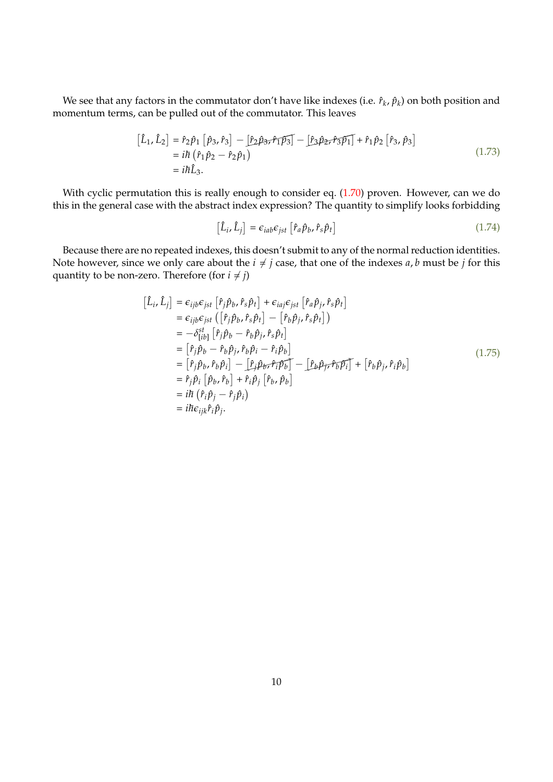We see that any factors in the commutator don't have like indexes (i.e.  $\hat{r}_k$ ,  $\hat{p}_k$ ) on both position and momentum terms, can be pulled out of the commutator. This leaves

$$
\begin{aligned}\n\left[\hat{L}_1, \hat{L}_2\right] &= \hat{r}_2 \hat{p}_1 \left[\hat{p}_3, \hat{r}_3\right] - \left[\hat{r}_2 \hat{p}_3, \hat{r}_1 \overline{p}_3\right] - \left[\hat{r}_3 \hat{p}_2, \hat{r}_3 \overline{p}_1\right] + \hat{r}_1 \hat{p}_2 \left[\hat{r}_3, \hat{p}_3\right] \\
&= i\hbar \left(\hat{r}_1 \hat{p}_2 - \hat{r}_2 \hat{p}_1\right) \\
&= i\hbar \hat{L}_3.\n\end{aligned}
$$
\n(1.73)

With cyclic permutation this is really enough to consider eq. [\(1.70\)](#page-8-0) proven. However, can we do this in the general case with the abstract index expression? The quantity to simplify looks forbidding

$$
\left[\hat{L}_i, \hat{L}_j\right] = \epsilon_{iab}\epsilon_{jst} \left[\hat{r}_a \hat{p}_b, \hat{r}_s \hat{p}_t\right]
$$
\n(1.74)

Because there are no repeated indexes, this doesn't submit to any of the normal reduction identities. Note however, since we only care about the  $i \neq j$  case, that one of the indexes  $a$ ,  $b$  must be  $j$  for this quantity to be non-zero. Therefore (for  $i \neq j$ )

$$
\begin{aligned}\n[\hat{L}_{i}, \hat{L}_{j}] &= \epsilon_{ijb}\epsilon_{jst} [\hat{r}_{j}\hat{p}_{b}, \hat{r}_{s}\hat{p}_{t}] + \epsilon_{iaj}\epsilon_{jst} [\hat{r}_{a}\hat{p}_{j}, \hat{r}_{s}\hat{p}_{t}] \\
&= \epsilon_{ijb}\epsilon_{jst} ([\hat{r}_{j}\hat{p}_{b}, \hat{r}_{s}\hat{p}_{t}] - [\hat{r}_{b}\hat{p}_{j}, \hat{r}_{s}\hat{p}_{t}]) \\
&= -\delta_{[ib]}^{st} [\hat{r}_{j}\hat{p}_{b} - \hat{r}_{b}\hat{p}_{j}, \hat{r}_{s}\hat{p}_{t}] \\
&= [\hat{r}_{j}\hat{p}_{b} - \hat{r}_{b}\hat{p}_{j}, \hat{r}_{b}\hat{p}_{i} - \hat{r}_{i}\hat{p}_{b}] \\
&= [\hat{r}_{j}\hat{p}_{b}, \hat{r}_{b}\hat{p}_{i}] - [\hat{r}_{j}\hat{p}_{b}, \hat{r}_{i}\hat{p}_{b}] - [\hat{r}_{b}\hat{p}_{j}, \hat{r}_{b}\hat{p}_{i}] + [\hat{r}_{b}\hat{p}_{j}, \hat{r}_{i}\hat{p}_{b}] \\
&= \hat{r}_{j}\hat{p}_{i} [\hat{p}_{b}, \hat{r}_{b}] + \hat{r}_{i}\hat{p}_{j} [\hat{r}_{b}, \hat{p}_{b}] \\
&= i\hbar (\hat{r}_{i}\hat{p}_{j} - \hat{r}_{j}\hat{p}_{i}) \\
&= i\hbar \epsilon_{ijk}\hat{r}_{i}\hat{p}_{j}.\n\end{aligned} \tag{1.75}
$$